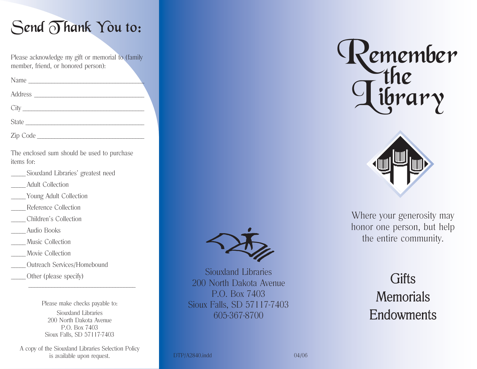

Please acknowledge my gift or memorial to (family member, friend, or honored person):

| Name     |  |
|----------|--|
|          |  |
|          |  |
| State    |  |
| Zip Code |  |

The enclosed sum should be used to purchase items for:

- Siouxland Libraries' greatest need
- Adult Collection
- \_\_\_\_\_ Young Adult Collection
- \_\_\_\_\_ Reference Collection
- \_\_\_\_\_ Children's Collection
- \_\_\_\_\_ Audio Books
- Music Collection
- Movie Collection
- Outreach Services/Homebound
- \_\_\_\_\_ Other (please specify)

Please make checks payable to: Siouxland Libraries200 North Dakota AvenueP.O. Box 7403Sioux Falls, SD 57117-7403

 $\mathcal{L}_\text{max}$  and the contract of the contract of the contract of the contract of the contract of the contract of the contract of the contract of the contract of the contract of the contract of the contract of the contrac

A copy of the Siouxland Libraries Selection Policy is available upon request. DTP/A2840.indd 04/06



Siouxland Libraries200 North Dakota AvenueP.O. Box 7403Sioux Falls, SD 57117-7403 605-367-8700





Where your generosity may honor one person, but help the entire community.

# **Gifts** Memorials Endowments